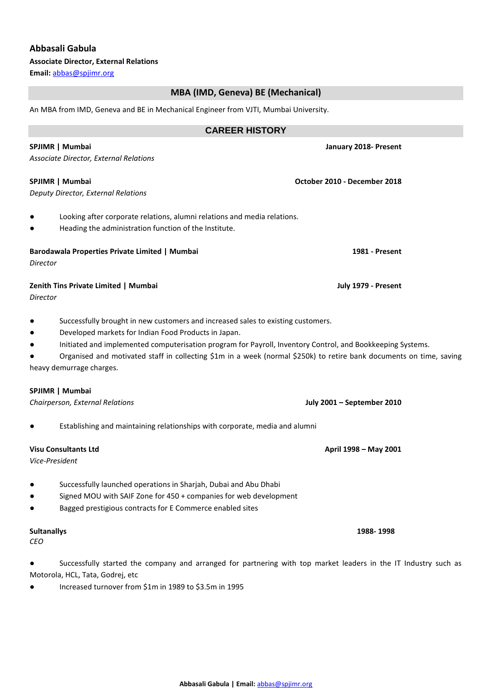## **Abbasali Gabula**

**Associate Director, External Relations**

**Email:** [abbas@spjimr.org](mailto:abbas@spjimr.org)

# **MBA (IMD, Geneva) BE (Mechanical)**

An MBA from IMD, Geneva and BE in Mechanical Engineer from VJTI, Mumbai University.

# **CAREER HISTORY SPJIMR | Mumbai** *January 2018-* **Present** *Associate Director, External Relations*  **SPJIMR | Mumbai October 2010 - December 2018** *Deputy Director, External Relations* Looking after corporate relations, alumni relations and media relations. Heading the administration function of the Institute. **Barodawala Properties Private Limited | Mumbai 1981 - Present** *Director*  **Zenith Tins Private Limited | Mumbai July 1979 - Present** *Director* ● Successfully brought in new customers and increased sales to existing customers. ● Developed markets for Indian Food Products in Japan. ● Initiated and implemented computerisation program for Payroll, Inventory Control, and Bookkeeping Systems. ● Organised and motivated staff in collecting \$1m in a week (normal \$250k) to retire bank documents on time, saving heavy demurrage charges. **SPJIMR | Mumbai** *Chairperson, External Relations* **July 2001 – September 2010** Establishing and maintaining relationships with corporate, media and alumni **Visu Consultants Ltd April 1998 – May 2001** *Vice-President* Successfully launched operations in Sharjah, Dubai and Abu Dhabi Signed MOU with SAIF Zone for 450 + companies for web development Bagged prestigious contracts for E Commerce enabled sites **Sultanallys 1988- 1998** *CEO* Successfully started the company and arranged for partnering with top market leaders in the IT Industry such as

Motorola, HCL, Tata, Godrej, etc ● Increased turnover from \$1m in 1989 to \$3.5m in 1995